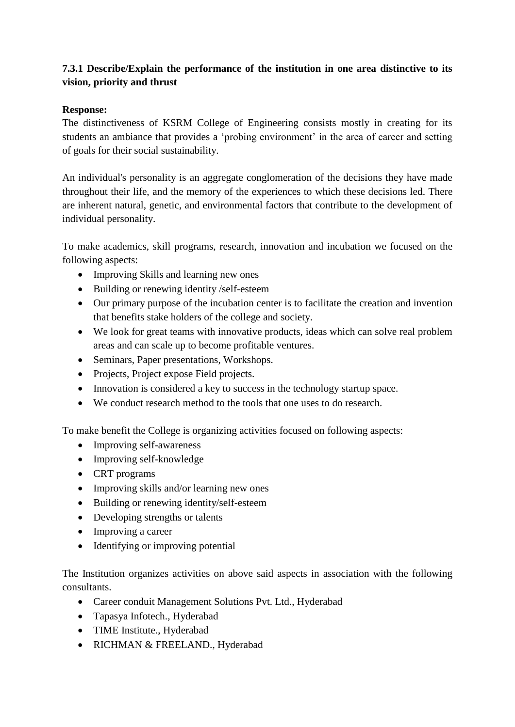## **7.3.1 Describe/Explain the performance of the institution in one area distinctive to its vision, priority and thrust**

## **Response:**

The distinctiveness of KSRM College of Engineering consists mostly in creating for its students an ambiance that provides a 'probing environment' in the area of career and setting of goals for their social sustainability.

An individual's personality is an aggregate conglomeration of the decisions they have made throughout their life, and the memory of the experiences to which these decisions led. There are inherent natural, genetic, and environmental factors that contribute to the development of individual personality.

To make academics, skill programs, research, innovation and incubation we focused on the following aspects:

- Improving Skills and learning new ones
- Building or renewing identity /self-esteem
- Our primary purpose of the incubation center is to facilitate the creation and invention that benefits stake holders of the college and society.
- We look for great teams with innovative products, ideas which can solve real problem areas and can scale up to become profitable ventures.
- Seminars, Paper presentations, Workshops.
- Projects, Project expose Field projects.
- Innovation is considered a key to success in the technology startup space.
- We conduct research method to the tools that one uses to do research.

To make benefit the College is organizing activities focused on following aspects:

- Improving self-awareness
- Improving self-knowledge
- CRT programs
- Improving skills and/or learning new ones
- Building or renewing identity/self-esteem
- Developing strengths or talents
- Improving a career
- Identifying or improving potential

The Institution organizes activities on above said aspects in association with the following consultants.

- Career conduit Management Solutions Pvt. Ltd., Hyderabad
- Tapasya Infotech., Hyderabad
- TIME Institute., Hyderabad
- RICHMAN & FREELAND., Hyderabad